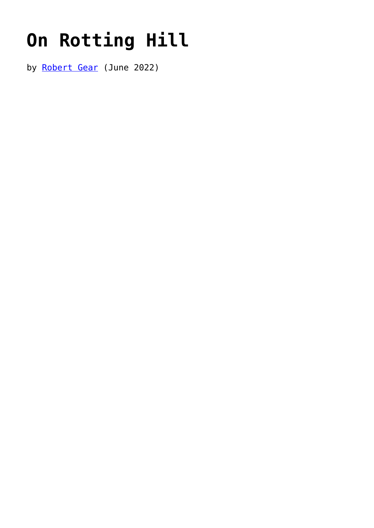## **[On Rotting Hill](https://www.newenglishreview.org/articles/on-rotting-hill/)**

by [Robert Gear](https://www.newenglishreview.org/authors/robert-gear/) (June 2022)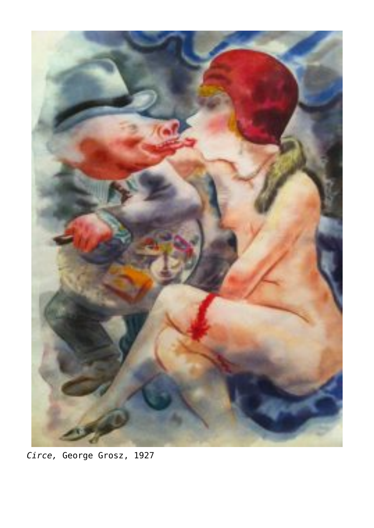

*Circe,* George Grosz, 1927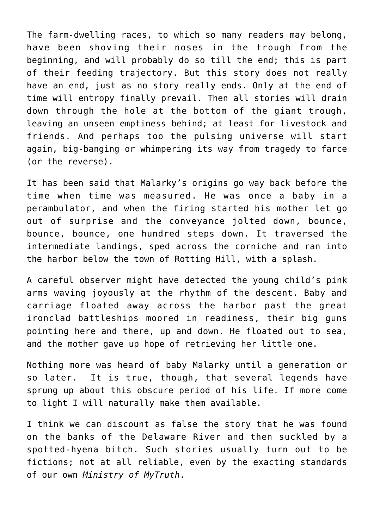The farm-dwelling races, to which so many readers may belong, have been shoving their noses in the trough from the beginning, and will probably do so till the end; this is part of their feeding trajectory. But this story does not really have an end, just as no story really ends. Only at the end of time will entropy finally prevail. Then all stories will drain down through the hole at the bottom of the giant trough, leaving an unseen emptiness behind; at least for livestock and friends. And perhaps too the pulsing universe will start again, big-banging or whimpering its way from tragedy to farce (or the reverse).

It has been said that Malarky's origins go way back before the time when time was measured. He was once a baby in a perambulator, and when the firing started his mother let go out of surprise and the conveyance jolted down, bounce, bounce, bounce, one hundred steps down. It traversed the intermediate landings, sped across the corniche and ran into the harbor below the town of Rotting Hill, with a splash.

A careful observer might have detected the young child's pink arms waving joyously at the rhythm of the descent. Baby and carriage floated away across the harbor past the great ironclad battleships moored in readiness, their big guns pointing here and there, up and down. He floated out to sea, and the mother gave up hope of retrieving her little one.

Nothing more was heard of baby Malarky until a generation or so later. It is true, though, that several legends have sprung up about this obscure period of his life. If more come to light I will naturally make them available.

I think we can discount as false the story that he was found on the banks of the Delaware River and then suckled by a spotted-hyena bitch. Such stories usually turn out to be fictions; not at all reliable, even by the exacting standards of our own *Ministry of MyTruth*.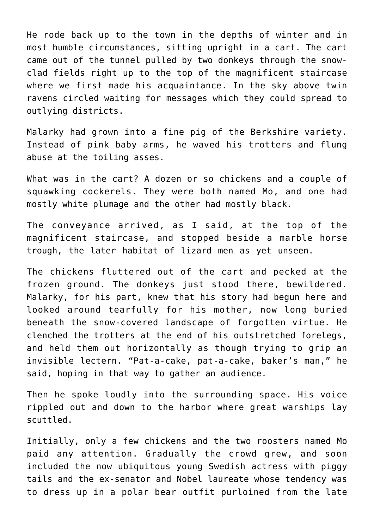He rode back up to the town in the depths of winter and in most humble circumstances, sitting upright in a cart. The cart came out of the tunnel pulled by two donkeys through the snowclad fields right up to the top of the magnificent staircase where we first made his acquaintance. In the sky above twin ravens circled waiting for messages which they could spread to outlying districts.

Malarky had grown into a fine pig of the Berkshire variety. Instead of pink baby arms, he waved his trotters and flung abuse at the toiling asses.

What was in the cart? A dozen or so chickens and a couple of squawking cockerels. They were both named Mo, and one had mostly white plumage and the other had mostly black.

The conveyance arrived, as I said, at the top of the magnificent staircase, and stopped beside a marble horse trough, the later habitat of lizard men as yet unseen.

The chickens fluttered out of the cart and pecked at the frozen ground. The donkeys just stood there, bewildered. Malarky, for his part, knew that his story had begun here and looked around tearfully for his mother, now long buried beneath the snow-covered landscape of forgotten virtue. He clenched the trotters at the end of his outstretched forelegs, and held them out horizontally as though trying to grip an invisible lectern. "Pat-a-cake, pat-a-cake, baker's man," he said, hoping in that way to gather an audience.

Then he spoke loudly into the surrounding space. His voice rippled out and down to the harbor where great warships lay scuttled.

Initially, only a few chickens and the two roosters named Mo paid any attention. Gradually the crowd grew, and soon included the now ubiquitous young Swedish actress with piggy tails and the ex-senator and Nobel laureate whose tendency was to dress up in a polar bear outfit purloined from the late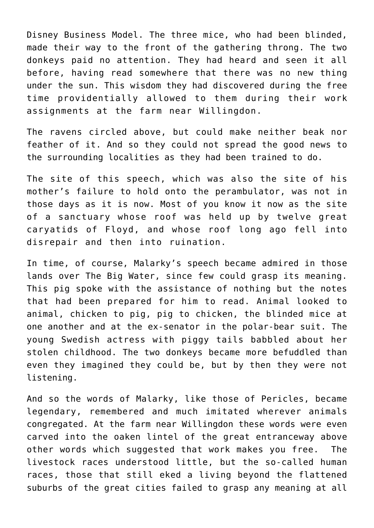Disney Business Model. The three mice, who had been blinded, made their way to the front of the gathering throng. The two donkeys paid no attention. They had heard and seen it all before, having read somewhere that there was no new thing under the sun. This wisdom they had discovered during the free time providentially allowed to them during their work assignments at the farm near Willingdon.

The ravens circled above, but could make neither beak nor feather of it. And so they could not spread the good news to the surrounding localities as they had been trained to do.

The site of this speech, which was also the site of his mother's failure to hold onto the perambulator, was not in those days as it is now. Most of you know it now as the site of a sanctuary whose roof was held up by twelve great caryatids of Floyd, and whose roof long ago fell into disrepair and then into ruination.

In time, of course, Malarky's speech became admired in those lands over The Big Water, since few could grasp its meaning. This pig spoke with the assistance of nothing but the notes that had been prepared for him to read. Animal looked to animal, chicken to pig, pig to chicken, the blinded mice at one another and at the ex-senator in the polar-bear suit. The young Swedish actress with piggy tails babbled about her stolen childhood. The two donkeys became more befuddled than even they imagined they could be, but by then they were not listening.

And so the words of Malarky, like those of Pericles, became legendary, remembered and much imitated wherever animals congregated. At the farm near Willingdon these words were even carved into the oaken lintel of the great entranceway above other words which suggested that work makes you free. The livestock races understood little, but the so-called human races, those that still eked a living beyond the flattened suburbs of the great cities failed to grasp any meaning at all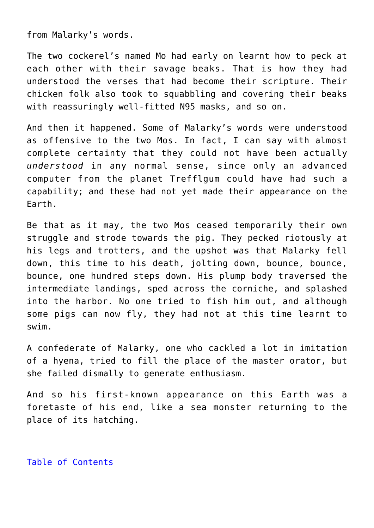from Malarky's words.

The two cockerel's named Mo had early on learnt how to peck at each other with their savage beaks. That is how they had understood the verses that had become their scripture. Their chicken folk also took to squabbling and covering their beaks with reassuringly well-fitted N95 masks, and so on.

And then it happened. Some of Malarky's words were understood as offensive to the two Mos. In fact, I can say with almost complete certainty that they could not have been actually *understood* in any normal sense, since only an advanced computer from the planet Trefflgum could have had such a capability; and these had not yet made their appearance on the Earth.

Be that as it may, the two Mos ceased temporarily their own struggle and strode towards the pig. They pecked riotously at his legs and trotters, and the upshot was that Malarky fell down, this time to his death, jolting down, bounce, bounce, bounce, one hundred steps down. His plump body traversed the intermediate landings, sped across the corniche, and splashed into the harbor. No one tried to fish him out, and although some pigs can now fly, they had not at this time learnt to swim.

A confederate of Malarky, one who cackled a lot in imitation of a hyena, tried to fill the place of the master orator, but she failed dismally to generate enthusiasm.

And so his first-known appearance on this Earth was a foretaste of his end, like a sea monster returning to the place of its hatching.

[Table of Contents](https://www.newenglishreview.org/)